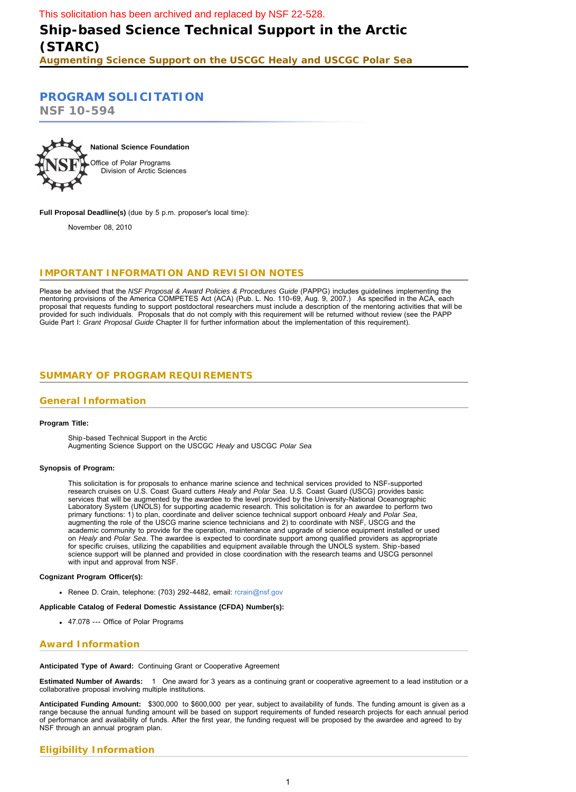# <span id="page-0-0"></span>**[PROGRAM SOLICITATION](#page-1-0)**

**NSF 10-594**



**Full Proposal Deadline(s)** (due by 5 p.m. proposer's local time):

November 08, 2010

## **IMPORTANT INFORMATION AND REVISION NOTES**

Please be advised that the *NSF Proposal & Award Policies & Procedures Guide* (PAPPG) includes guidelines implementing the mentoring provisions of the America COMPETES Act (ACA) (Pub. L. No. 110-69, Aug. 9, 2007.) As specified in the ACA, each proposal that requests funding to support postdoctoral researchers must include a description of the mentoring activities that will be provided for such individuals. Proposals that do not comply with this requirement will be returned without review (see the PAPP Guide Part I: *Grant Proposal Guide* Chapter II for further information about the implementation of this requirement).

## **SUMMARY OF PROGRAM REQUIREMENTS**

## **General Information**

#### **Program Title:**

Ship-based Technical Support in the Arctic Augmenting Science Support on the USCGC *Healy* and USCGC *Polar Sea*

#### **Synopsis of Program:**

This solicitation is for proposals to enhance marine science and technical services provided to NSF-supported research cruises on U.S. Coast Guard cutters *Healy* and *Polar Sea*. U.S. Coast Guard (USCG) provides basic services that will be augmented by the awardee to the level provided by the University-National Oceanographic Laboratory System (UNOLS) for supporting academic research. This solicitation is for an awardee to perform two primary functions: 1) to plan, coordinate and deliver science technical support onboard *Healy* and *Polar Sea*, augmenting the role of the USCG marine science technicians and 2) to coordinate with NSF, USCG and the academic community to provide for the operation, maintenance and upgrade of science equipment installed or used on *Healy* and *Polar Sea*. The awardee is expected to coordinate support among qualified providers as appropriate for specific cruises, utilizing the capabilities and equipment available through the UNOLS system. Ship-based science support will be planned and provided in close coordination with the research teams and USCG personnel with input and approval from NSF.

#### **Cognizant Program Officer(s):**

Renee D. Crain, telephone: (703) 292-4482, email: [rcrain@nsf.gov](mailto:rcrain@nsf.gov)

### **Applicable Catalog of Federal Domestic Assistance (CFDA) Number(s):**

47.078 --- Office of Polar Programs

## **Award Information**

#### **Anticipated Type of Award:** Continuing Grant or Cooperative Agreement

**Estimated Number of Awards:** 1 One award for 3 years as a continuing grant or cooperative agreement to a lead institution or a collaborative proposal involving multiple institutions.

**Anticipated Funding Amount:** \$300,000 to \$600,000 per year, subject to availability of funds. The funding amount is given as a range because the annual funding amount will be based on support requirements of funded research projects for each annual period of performance and availability of funds. After the first year, the funding request will be proposed by the awardee and agreed to by NSF through an annual program plan.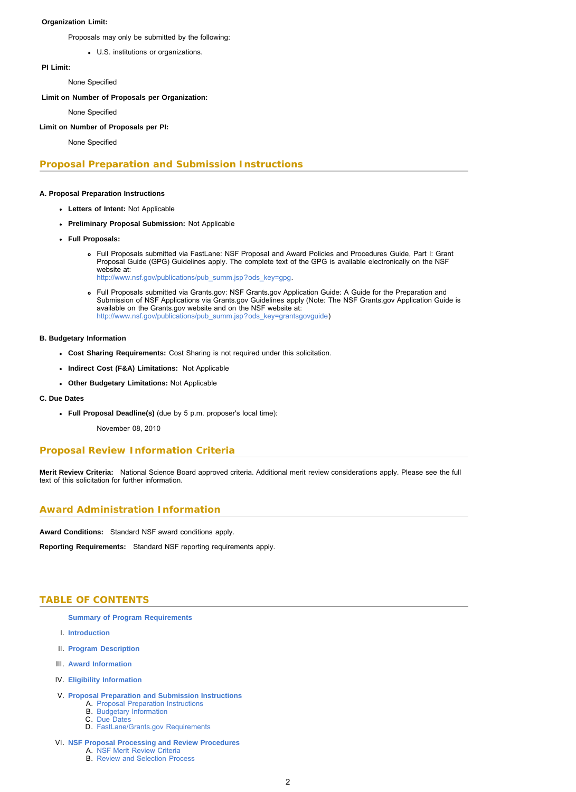### <span id="page-1-0"></span>**Organization Limit:**

Proposals may only be submitted by the following:

U.S. institutions or organizations.

### **PI Limit:**

None Specified

### **Limit on Number of Proposals per Organization:**

None Specified

## **Limit on Number of Proposals per PI:**

None Specified

## **Proposal Preparation and Submission Instructions**

### **A. Proposal Preparation Instructions**

- **Letters of Intent:** Not Applicable
- **Preliminary Proposal Submission:** Not Applicable
- **Full Proposals:**
	- Full Proposals submitted via FastLane: NSF Proposal and Award Policies and Procedures Guide, Part I: Grant Proposal Guide (GPG) Guidelines apply. The complete text of the GPG is available electronically on the NSF website at: [http://www.nsf.gov/publications/pub\\_summ.jsp?ods\\_key=gpg](http://www.nsf.gov/publications/pub_summ.jsp?ods_key=gpg).
	- Full Proposals submitted via Grants.gov: NSF Grants.gov Application Guide: A Guide for the Preparation and Submission of NSF Applications via Grants.gov Guidelines apply (Note: The NSF Grants.gov Application Guide is available on the Grants.gov website and on the NSF website at: [http://www.nsf.gov/publications/pub\\_summ.jsp?ods\\_key=grantsgovguide\)](http://www.nsf.gov/publications/pub_summ.jsp?ods_key=grantsgovguide)

### **B. Budgetary Information**

- **Cost Sharing Requirements:** Cost Sharing is not required under this solicitation.
- **Indirect Cost (F&A) Limitations:** Not Applicable
- **Other Budgetary Limitations:** Not Applicable
- **C. Due Dates**
	- **Full Proposal Deadline(s)** (due by 5 p.m. proposer's local time):
		- November 08, 2010

## **Proposal Review Information Criteria**

**Merit Review Criteria:** National Science Board approved criteria. Additional merit review considerations apply. Please see the full text of this solicitation for further information.

## **Award Administration Information**

**Award Conditions:** Standard NSF award conditions apply.

**Reporting Requirements:** Standard NSF reporting requirements apply.

## **TABLE OF CONTENTS**

**[Summary of Program Requirements](#page-0-0)**

- I. **[Introduction](#page-2-0)**
- II. **[Program Description](#page-2-0)**
- III. **[Award Information](#page-3-0)**
- IV. **[Eligibility Information](#page-4-0)**
- V. **[Proposal Preparation and Submission Instructions](#page-4-0)**
	- A. [Proposal Preparation Instructions](#page-4-0) B. [Budgetary Information](#page-4-0)
		- C. [Due Dates](#page-4-0)
	- D. [FastLane/Grants.gov Requirements](#page-5-0)
- VI. **[NSF Proposal Processing and Review Procedures](#page-5-0)** A. [NSF Merit Review Criteria](#page-5-0)
	- B. [Review and Selection Process](#page-6-0)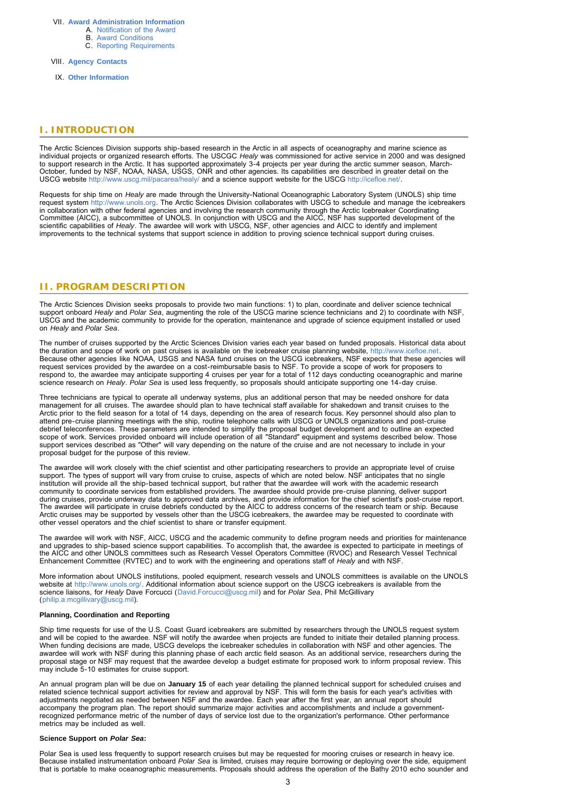#### <span id="page-2-0"></span>VII. **[Award Administration Information](#page-6-0)**

- A. [Notification of the Award](#page-6-0)
	- B. [Award Conditions](#page-6-0)
	- C. [Reporting Requirements](#page-6-0)

VIII. **[Agency Contacts](#page-7-0)**

IX. **Other Information**

### **I. INTRODUCTION**

The Arctic Sciences Division supports ship-based research in the Arctic in all aspects of oceanography and marine science as individual projects or organized research efforts. The USCGC *Healy* was commissioned for active service in 2000 and was designed to support research in the Arctic. It has supported approximately 3-4 projects per year during the arctic summer season, March-October, funded by NSF, NOAA, NASA, USGS, ONR and other agencies. Its capabilities are described in greater detail on the USCG website <http://www.uscg.mil/pacarea/healy/>and a science support website for the USCG [http://icefloe.net/.](http://www.nsf.gov/cgi-bin/good-bye?http://icefloe.net/)

Requests for ship time on *Healy* are made through the University-National Oceanographic Laboratory System (UNOLS) ship time<br>request system [http://www.unols.org](http://www.nsf.gov/cgi-bin/good-bye?http://www.unols.org). The Arctic Sciences Division collaborates with USCG to sched in collaboration with other federal agencies and involving the research community through the Arctic Icebreaker Coordinating Committee (AICC), a subcommittee of UNOLS. In conjunction with USCG and the AICC, NSF has supported development of the scientific capabilities of *Healy*. The awardee will work with USCG, NSF, other agencies and AICC to identify and implement improvements to the technical systems that support science in addition to proving science technical support during cruises.

### **II. PROGRAM DESCRIPTION**

The Arctic Sciences Division seeks proposals to provide two main functions: 1) to plan, coordinate and deliver science technical support onboard *Healy* and *Polar Sea*, augmenting the role of the USCG marine science technicians and 2) to coordinate with NSF, USCG and the academic community to provide for the operation, maintenance and upgrade of science equipment installed or used on *Healy* and *Polar Sea*.

The number of cruises supported by the Arctic Sciences Division varies each year based on funded proposals. Historical data about the duration and scope of work on past cruises is available on the icebreaker cruise planning website, [http://www.icefloe.net.](http://www.nsf.gov/cgi-bin/good-bye?http://www.icefloe.net) Because other agencies like NOAA, USGS and NASA fund cruises on the USCG icebreakers, NSF expects that these agencies will<br>request services provided by the awardee on a cost-reimbursable basis to NSF. To provide a scope of respond to, the awardee may anticipate supporting 4 cruises per year for a total of 112 days conducting oceanographic and marine<br>science research on *Healy. Polar Sea* is used less frequently, so proposals should anticipat

Three technicians are typical to operate all underway systems, plus an additional person that may be needed onshore for data management for all cruises. The awardee should plan to have technical staff available for shakedown and transit cruises to the Arctic prior to the field season for a total of 14 days, depending on the area of research focus. Key personnel should also plan to attend pre-cruise planning meetings with the ship, routine telephone calls with USCG or UNOLS organizations and post-cruise<br>debrief teleconferences. These parameters are intended to simplify the proposal budget development proposal budget for the purpose of this review.

The awardee will work closely with the chief scientist and other participating researchers to provide an appropriate level of cruise<br>support. The types of support will vary from cruise to cruise, aspects of which are noted institution will provide all the ship-based technical support, but rather that the awardee will work with the academic research community to coordinate services from established providers. The awardee should provide pre-cruise planning, deliver support during cruises, provide underway data to approved data archives, and provide information for the chief scientist's post-cruise report. The awardee will participate in cruise debriefs conducted by the AICC to address concerns of the research team or ship. Because Arctic cruises may be supported by vessels other than the USCG icebreakers, the awardee may be requested to coordinate with other vessel operators and the chief scientist to share or transfer equipment.

The awardee will work with NSF, AICC, USCG and the academic community to define program needs and priorities for maintenance and upgrades to ship-based science support capabilities. To accomplish that, the awardee is expected to participate in meetings of the AICC and other UNOLS committees such as Research Vessel Operators Committee (RVOC) and Research Vessel Technical Enhancement Committee (RVTEC) and to work with the engineering and operations staff of *Healy* and with NSF.

More information about UNOLS institutions, pooled equipment, research vessels and UNOLS committees is available on the UNOLS<br>website at [http://www.unols.org/.](http://www.nsf.gov/cgi-bin/good-bye?http://www.unols.org/) Additional information about science support on the USCG icebre science liaisons, for *Healy* Dave Forcucci ([David.Forcucci@uscg.mil\)](mailto:David.Forcucci@uscg.mil) and for *Polar Sea*, Phil McGillivary ([philip.a.mcgillivary@uscg.mil\)](mailto:philip.a.mcgillivary@uscg.mil).

### **Planning, Coordination and Reporting**

Ship time requests for use of the U.S. Coast Guard icebreakers are submitted by researchers through the UNOLS request system and will be copied to the awardee. NSF will notify the awardee when projects are funded to initiate their detailed planning process.<br>When funding decisions are made, USCG develops the icebreaker schedules in collaboration awardee will work with NSF during this planning phase of each arctic field season. As an additional service, researchers during the proposal stage or NSF may request that the awardee develop a budget estimate for proposed work to inform proposal review. This may include 5-10 estimates for cruise support.

An annual program plan will be due on **January 15** of each year detailing the planned technical support for scheduled cruises and<br>related science technical support activities for review and approval by NSF. This will form accompany the program plan. The report should summarize major activities and accomplishments and include a governmentrecognized performance metric of the number of days of service lost due to the organization's performance. Other performance metrics may be included as well.

#### **Science Support on** *Polar Sea***:**

Polar Sea is used less frequently to support research cruises but may be requested for mooring cruises or research in heavy ice. Because installed instrumentation onboard *Polar Sea* is limited, cruises may require borrowing or deploying over the side, equipment that is portable to make oceanographic measurements. Proposals should address the operation of the Bathy 2010 echo sounder and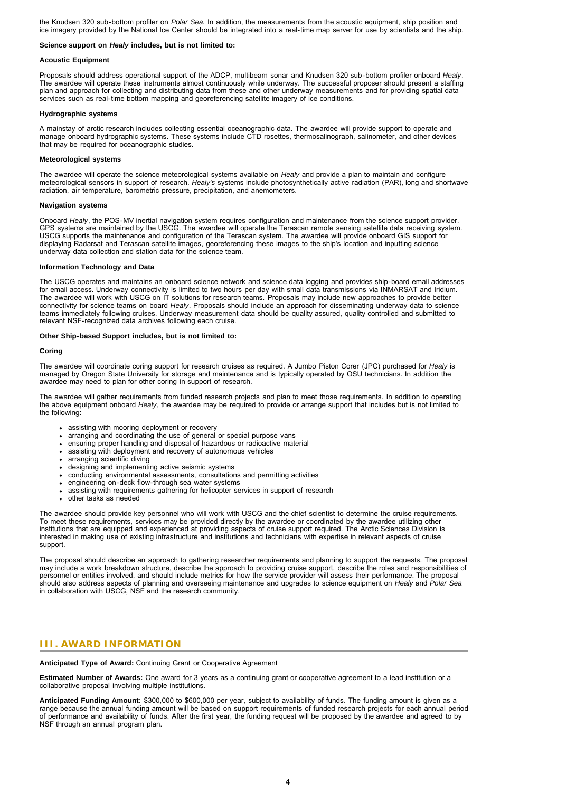<span id="page-3-0"></span>the Knudsen 320 sub-bottom profiler on *Polar Sea.* In addition, the measurements from the acoustic equipment, ship position and ice imagery provided by the National Ice Center should be integrated into a real-time map server for use by scientists and the ship.

#### **Science support on** *Healy* **includes, but is not limited to:**

### **Acoustic Equipment**

Proposals should address operational support of the ADCP, multibeam sonar and Knudsen 320 sub-bottom profiler onboard *Healy*. The awardee will operate these instruments almost continuously while underway. The successful proposer should present a staffing plan and approach for collecting and distributing data from these and other underway measurements and for providing spatial data services such as real-time bottom mapping and georeferencing satellite imagery of ice conditions.

### **Hydrographic systems**

A mainstay of arctic research includes collecting essential oceanographic data. The awardee will provide support to operate and manage onboard hydrographic systems. These systems include CTD rosettes, thermosalinograph, salinometer, and other devices that may be required for oceanographic studies.

### **Meteorological systems**

The awardee will operate the science meteorological systems available on *Healy* and provide a plan to maintain and configure meteorological sensors in support of research. *Healy's* systems include photosynthetically active radiation (PAR), long and shortwave radiation, air temperature, barometric pressure, precipitation, and anemometers.

#### **Navigation systems**

Onboard *Healy*, the POS-MV inertial navigation system requires configuration and maintenance from the science support provider. GPS systems are maintained by the USCG. The awardee will operate the Terascan remote sensing satellite data receiving system. USCG supports the maintenance and configuration of the Terascan system. The awardee will provide onboard GIS support for displaying Radarsat and Terascan satellite images, georeferencing these images to the ship's location and inputting science underway data collection and station data for the science team.

#### **Information Technology and Data**

The USCG operates and maintains an onboard science network and science data logging and provides ship-board email addresses for email access. Underway connectivity is limited to two hours per day with small data transmissions via INMARSAT and Iridium. The awardee will work with USCG on IT solutions for research teams. Proposals may include new approaches to provide better connectivity for science teams on board *Healy*. Proposals should include an approach for disseminating underway data to science teams immediately following cruises. Underway measurement data should be quality assured, quality controlled and submitted to relevant NSF-recognized data archives following each cruise.

#### **Other Ship-based Support includes, but is not limited to:**

#### **Coring**

The awardee will coordinate coring support for research cruises as required. A Jumbo Piston Corer (JPC) purchased for *Healy* is managed by Oregon State University for storage and maintenance and is typically operated by OSU technicians. In addition the awardee may need to plan for other coring in support of research.

The awardee will gather requirements from funded research projects and plan to meet those requirements. In addition to operating the above equipment onboard *Healy*, the awardee may be required to provide or arrange support that includes but is not limited to the following:

- assisting with mooring deployment or recovery
- arranging and coordinating the use of general or special purpose vans
- ensuring proper handling and disposal of hazardous or radioactive material
- assisting with deployment and recovery of autonomous vehicles
- arranging scientific diving
- designing and implementing active seismic systems
- conducting environmental assessments, consultations and permitting activities
- engineering on-deck flow-through sea water systems
- assisting with requirements gathering for helicopter services in support of research
- other tasks as needed

The awardee should provide key personnel who will work with USCG and the chief scientist to determine the cruise requirements. To meet these requirements, services may be provided directly by the awardee or coordinated by the awardee utilizing other institutions that are equipped and experienced at providing aspects of cruise support required. The Arctic Sciences Division is interested in making use of existing infrastructure and institutions and technicians with expertise in relevant aspects of cruise support.

The proposal should describe an approach to gathering researcher requirements and planning to support the requests. The proposal may include a work breakdown structure, describe the approach to providing cruise support, describe the roles and responsibilities of personnel or entities involved, and should include metrics for how the service provider will assess their performance. The proposal should also address aspects of planning and overseeing maintenance and upgrades to science equipment on *Healy* and *Polar Sea* in collaboration with USCG, NSF and the research community.

## **III. AWARD INFORMATION**

**Anticipated Type of Award:** Continuing Grant or Cooperative Agreement

**Estimated Number of Awards:** One award for 3 years as a continuing grant or cooperative agreement to a lead institution or a collaborative proposal involving multiple institutions.

**Anticipated Funding Amount:** \$300,000 to \$600,000 per year, subject to availability of funds. The funding amount is given as a range because the annual funding amount will be based on support requirements of funded research projects for each annual period of performance and availability of funds. After the first year, the funding request will be proposed by the awardee and agreed to by NSF through an annual program plan.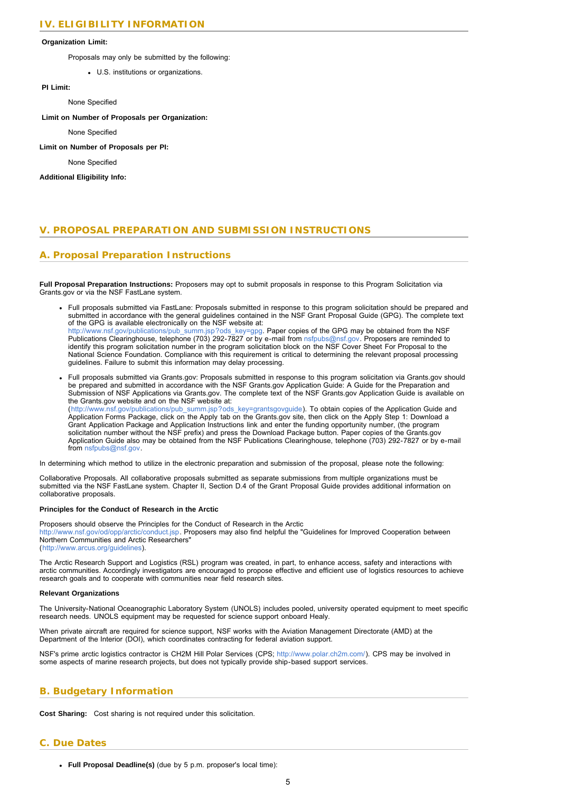### <span id="page-4-0"></span>**Organization Limit:**

Proposals may only be submitted by the following:

U.S. institutions or organizations.

**PI Limit:**

None Specified

**Limit on Number of Proposals per Organization:**

None Specified

**Limit on Number of Proposals per PI:**

None Specified

**Additional Eligibility Info:**

## **V. PROPOSAL PREPARATION AND SUBMISSION INSTRUCTIONS**

## **A. Proposal Preparation Instructions**

**Full Proposal Preparation Instructions:** Proposers may opt to submit proposals in response to this Program Solicitation via Grants.gov or via the NSF FastLane system.

- Full proposals submitted via FastLane: Proposals submitted in response to this program solicitation should be prepared and submitted in accordance with the general guidelines contained in the NSF Grant Proposal Guide (GPG). The complete text of the GPG is available electronically on the NSF website at:<br>[http://www.nsf.gov/publications/pub\\_summ.jsp?ods\\_key=gpg](http://www.nsf.gov/publications/pub_summ.jsp?ods_key=gpg). Paper copies of the GPG may be obtained from the NSF<br>Publications Clearinghouse, telephone (703) 292-7 identify this program solicitation number in the program solicitation block on the NSF Cover Sheet For Proposal to the National Science Foundation. Compliance with this requirement is critical to determining the relevant proposal processing guidelines. Failure to submit this information may delay processing.
- Full proposals submitted via Grants.gov: Proposals submitted in response to this program solicitation via Grants.gov should be prepared and submitted in accordance with the NSF Grants.gov Application Guide: A Guide for the Preparation and Submission of NSF Applications via Grants.gov. The complete text of the NSF Grants.gov Application Guide is available on the Grants.gov website and on the NSF website at: ([http://www.nsf.gov/publications/pub\\_summ.jsp?ods\\_key=grantsgovguide\)](http://www.nsf.gov/publications/pub_summ.jsp?ods_key=grantsgovguide). To obtain copies of the Application Guide and

Application Forms Package, click on the Apply tab on the Grants.gov site, then click on the Apply Step 1: Download a Grant Application Package and Application Instructions link and enter the funding opportunity number, (the program solicitation number without the NSF prefix) and press the Download Package button. Paper copies of the Grants.gov Application Guide also may be obtained from the NSF Publications Clearinghouse, telephone (703) 292-7827 or by e-mail from [nsfpubs@nsf.gov.](mailto:nsfpubs@nsf.gov)

In determining which method to utilize in the electronic preparation and submission of the proposal, please note the following:

Collaborative Proposals. All collaborative proposals submitted as separate submissions from multiple organizations must be submitted via the NSF FastLane system. Chapter II, Section D.4 of the Grant Proposal Guide provides additional information on collaborative proposals.

### **Principles for the Conduct of Research in the Arctic**

Proposers should observe the Principles for the Conduct of Research in the Arctic [http://www.nsf.gov/od/opp/arctic/conduct.jsp.](http://www.nsf.gov/od/opp/arctic/conduct.jsp) Proposers may also find helpful the "Guidelines for Improved Cooperation between Northern Communities and Arctic Researchers" ([http://www.arcus.org/guidelines](http://www.nsf.gov/cgi-bin/good-bye?http://www.arcus.org/guidelines)).

The Arctic Research Support and Logistics (RSL) program was created, in part, to enhance access, safety and interactions with arctic communities. Accordingly investigators are encouraged to propose effective and efficient use of logistics resources to achieve research goals and to cooperate with communities near field research sites.

#### **Relevant Organizations**

The University-National Oceanographic Laboratory System (UNOLS) includes pooled, university operated equipment to meet specific research needs. UNOLS equipment may be requested for science support onboard Healy.

When private aircraft are required for science support, NSF works with the Aviation Management Directorate (AMD) at the Department of the Interior (DOI), which coordinates contracting for federal aviation support.

NSF's prime arctic logistics contractor is CH2M Hill Polar Services (CPS; [http://www.polar.ch2m.com/\)](http://www.nsf.gov/cgi-bin/good-bye?http://www.polar.ch2m.com/). CPS may be involved in some aspects of marine research projects, but does not typically provide ship-based support services.

## **B. Budgetary Information**

**Cost Sharing:** Cost sharing is not required under this solicitation.

## **C. Due Dates**

**Full Proposal Deadline(s)** (due by 5 p.m. proposer's local time):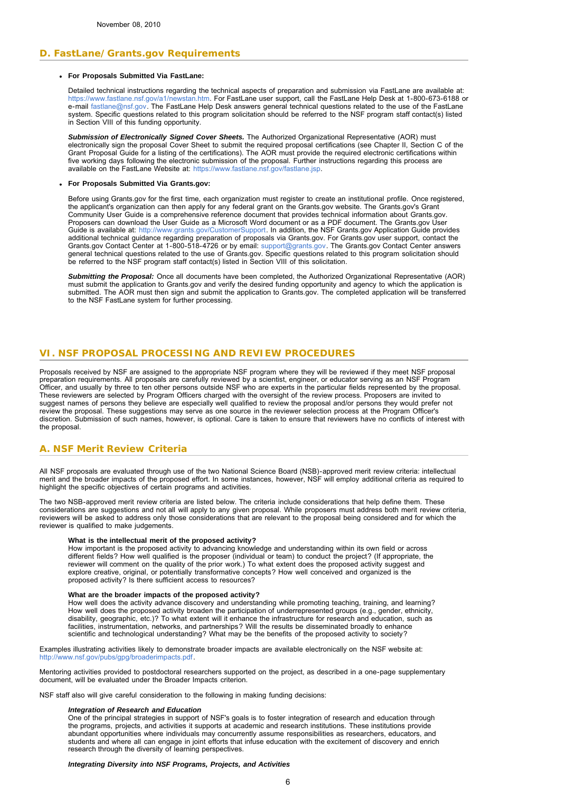## <span id="page-5-0"></span>**D. FastLane/Grants.gov Requirements**

### **For Proposals Submitted Via FastLane:**

Detailed technical instructions regarding the technical aspects of preparation and submission via FastLane are available at: [https://www.fastlane.nsf.gov/a1/newstan.htm.](https://www.fastlane.nsf.gov/a1/newstan.htm) For FastLane user support, call the FastLane Help Desk at 1-800-673-6188 or e-mail [fastlane@nsf.gov.](mailto:fastlane@nsf.gov) The FastLane Help Desk answers general technical questions related to the use of the FastLane system. Specific questions related to this program solicitation should be referred to the NSF program staff contact(s) listed in Section VIII of this funding opportunity.

Submission of Electronically Signed Cover Sheets. The Authorized Organizational Representative (AOR) must<br>electronically sign the proposal Cover Sheet to submit the required proposal certifications (see Chapter II, Section Grant Proposal Guide for a listing of the certifications). The AOR must provide the required electronic certifications within five working days following the electronic submission of the proposal. Further instructions regarding this process are available on the FastLane Website at:<https://www.fastlane.nsf.gov/fastlane.jsp>.

#### **For Proposals Submitted Via Grants.gov:**

Before using Grants.gov for the first time, each organization must register to create an institutional profile. Once registered, the applicant's organization can then apply for any federal grant on the Grants.gov website. The Grants.gov's Grant<br>Community User Guide is a comprehensive reference document that provides technical information about Grant Proposers can download the User Guide as a Microsoft Word document or as a PDF document. The Grants.gov User Guide is available at: <http://www.grants.gov/CustomerSupport>. In addition, the NSF Grants.gov Application Guide provides additional technical guidance regarding preparation of proposals via Grants.gov. For Grants.gov user support, contact the<br>Grants.gov Contact Center at 1-800-518-4726 or by email: [support@grants.gov](mailto:support@grants.gov). The Grants.gov Contact general technical questions related to the use of Grants.gov. Specific questions related to this program solicitation should<br>be referred to the NSF program staff contact(s) listed in Section VIII of this solicitation.

*Submitting the Proposal:* Once all documents have been completed, the Authorized Organizational Representative (AOR) must submit the application to Grants.gov and verify the desired funding opportunity and agency to which the application is submitted. The AOR must then sign and submit the application to Grants.gov. The completed application will be transferred to the NSF FastLane system for further processing.

### **VI. NSF PROPOSAL PROCESSING AND REVIEW PROCEDURES**

Proposals received by NSF are assigned to the appropriate NSF program where they will be reviewed if they meet NSF proposal preparation requirements. All proposals are carefully reviewed by a scientist, engineer, or educator serving as an NSF Program Officer, and usually by three to ten other persons outside NSF who are experts in the particular fields represented by the proposal. These reviewers are selected by Program Officers charged with the oversight of the review process. Proposers are invited to suggest names of persons they believe are especially well qualified to review the proposal and/or persons they would prefer not review the proposal. These suggestions may serve as one source in the reviewer selection process at the Program Officer's discretion. Submission of such names, however, is optional. Care is taken to ensure that reviewers have no conflicts of interest with the proposal.

## **A. NSF Merit Review Criteria**

All NSF proposals are evaluated through use of the two National Science Board (NSB)-approved merit review criteria: intellectual<br>merit and the broader impacts of the proposed effort. In some instances, however, NSF will em highlight the specific objectives of certain programs and activities.

The two NSB-approved merit review criteria are listed below. The criteria include considerations that help define them. These considerations are suggestions and not all will apply to any given proposal. While proposers must address both merit review criteria, reviewers will be asked to address only those considerations that are relevant to the proposal being considered and for which the reviewer is qualified to make judgements.

#### **What is the intellectual merit of the proposed activity?**

How important is the proposed activity to advancing knowledge and understanding within its own field or across different fields? How well qualified is the proposer (individual or team) to conduct the project? (If appropriate, the reviewer will comment on the quality of the prior work.) To what extent does the proposed activity suggest and explore creative, original, or potentially transformative concepts? How well conceived and organized is the proposed activity? Is there sufficient access to resources?

### **What are the broader impacts of the proposed activity?**

How well does the activity advance discovery and understanding while promoting teaching, training, and learning? How well does the proposed activity broaden the participation of underrepresented groups (e.g., gender, ethnicity,<br>disability, geographic, etc.)? To what extent will it enhance the infrastructure for research and education facilities, instrumentation, networks, and partnerships? Will the results be disseminated broadly to enhance scientific and technological understanding? What may be the benefits of the proposed activity to society?

Examples illustrating activities likely to demonstrate broader impacts are available electronically on the NSF website at: [http://www.nsf.gov/pubs/gpg/broaderimpacts.pdf.](http://www.nsf.gov/pubs/gpg/broaderimpacts.pdf)

Mentoring activities provided to postdoctoral researchers supported on the project, as described in a one-page supplementary document, will be evaluated under the Broader Impacts criterion.

NSF staff also will give careful consideration to the following in making funding decisions:

#### *Integration of Research and Education*

One of the principal strategies in support of NSF's goals is to foster integration of research and education through the programs, projects, and activities it supports at academic and research institutions. These institutions provide abundant opportunities where individuals may concurrently assume responsibilities as researchers, educators, and students and where all can engage in joint efforts that infuse education with the excitement of discovery and enrich research through the diversity of learning perspectives.

*Integrating Diversity into NSF Programs, Projects, and Activities*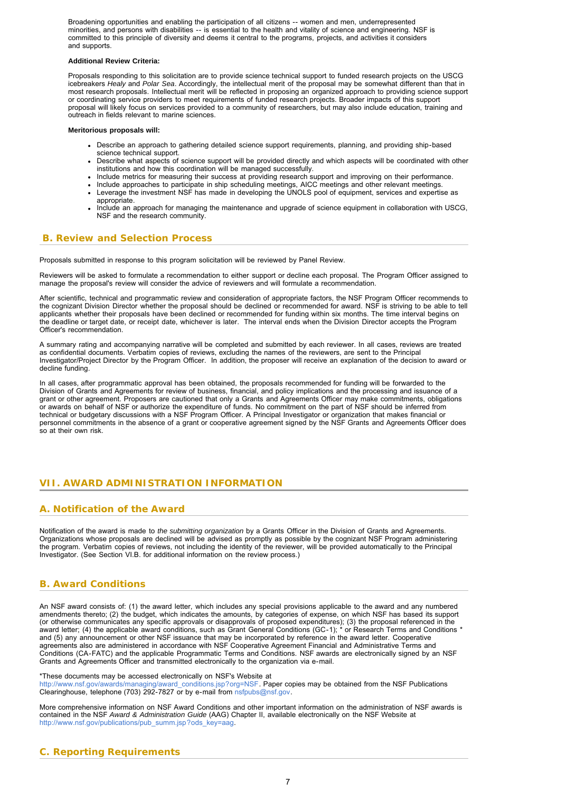<span id="page-6-0"></span>Broadening opportunities and enabling the participation of all citizens -- women and men, underrepresented minorities, and persons with disabilities -- is essential to the health and vitality of science and engineering. NSF is committed to this principle of diversity and deems it central to the programs, projects, and activities it considers and supports.

### **Additional Review Criteria:**

Proposals responding to this solicitation are to provide science technical support to funded research projects on the USCG icebreakers *Healy* and *Polar Sea*. Accordingly, the intellectual merit of the proposal may be somewhat different than that in most research proposals. Intellectual merit will be reflected in proposing an organized approach to providing science support or coordinating service providers to meet requirements of funded research projects. Broader impacts of this support proposal will likely focus on services provided to a community of researchers, but may also include education, training and outreach in fields relevant to marine sciences.

#### **Meritorious proposals will:**

- Describe an approach to gathering detailed science support requirements, planning, and providing ship-based science technical support.
- Describe what aspects of science support will be provided directly and which aspects will be coordinated with other institutions and how this coordination will be managed successfully.
- Include metrics for measuring their success at providing research support and improving on their performance.
- Include approaches to participate in ship scheduling meetings, AICC meetings and other relevant meetings.
- Leverage the investment NSF has made in developing the UNOLS pool of equipment, services and expertise as appropriate.
- Include an approach for managing the maintenance and upgrade of science equipment in collaboration with USCG, NSF and the research community.

## **B. Review and Selection Process**

Proposals submitted in response to this program solicitation will be reviewed by Panel Review.

Reviewers will be asked to formulate a recommendation to either support or decline each proposal. The Program Officer assigned to manage the proposal's review will consider the advice of reviewers and will formulate a recommendation.

After scientific, technical and programmatic review and consideration of appropriate factors, the NSF Program Officer recommends to the cognizant Division Director whether the proposal should be declined or recommended for award. NSF is striving to be able to tell applicants whether their proposals have been declined or recommended for funding within six months. The time interval begins on the deadline or target date, or receipt date, whichever is later. The interval ends when the Division Director accepts the Program Officer's recommendation.

A summary rating and accompanying narrative will be completed and submitted by each reviewer. In all cases, reviews are treated as confidential documents. Verbatim copies of reviews, excluding the names of the reviewers, are sent to the Principal Investigator/Project Director by the Program Officer. In addition, the proposer will receive an explanation of the decision to award or decline funding.

In all cases, after programmatic approval has been obtained, the proposals recommended for funding will be forwarded to the Division of Grants and Agreements for review of business, financial, and policy implications and the processing and issuance of a grant or other agreement. Proposers are cautioned that only a Grants and Agreements Officer may make commitments, obligations or awards on behalf of NSF or authorize the expenditure of funds. No commitment on the part of NSF should be inferred from technical or budgetary discussions with a NSF Program Officer. A Principal Investigator or organization that makes financial or personnel commitments in the absence of a grant or cooperative agreement signed by the NSF Grants and Agreements Officer does so at their own risk.

## **VII. AWARD ADMINISTRATION INFORMATION**

## **A. Notification of the Award**

Notification of the award is made to *the submitting organization* by a Grants Officer in the Division of Grants and Agreements.<br>Organizations whose proposals are declined will be advised as promptly as possible by the cog the program. Verbatim copies of reviews, not including the identity of the reviewer, will be provided automatically to the Principal Investigator. (See Section VI.B. for additional information on the review process.)

## **B. Award Conditions**

An NSF award consists of: (1) the award letter, which includes any special provisions applicable to the award and any numbered amendments thereto; (2) the budget, which indicates the amounts, by categories of expense, on which NSF has based its support (or otherwise communicates any specific approvals or disapprovals of proposed expenditures); (3) the proposal referenced in the<br>award letter; (4) the applicable award conditions, such as Grant General Conditions (GC-1); \* and (5) any announcement or other NSF issuance that may be incorporated by reference in the award letter. Cooperative agreements also are administered in accordance with NSF Cooperative Agreement Financial and Administrative Terms and Conditions (CA-FATC) and the applicable Programmatic Terms and Conditions. NSF awards are electronically signed by an NSF Grants and Agreements Officer and transmitted electronically to the organization via e-mail.

\*These documents may be accessed electronically on NSF's Website at

[http://www.nsf.gov/awards/managing/award\\_conditions.jsp?org=NSF](http://www.nsf.gov/awards/managing/award_conditions.jsp?org=NSF). Paper copies may be obtained from the NSF Publications Clearinghouse, telephone (703) 292-7827 or by e-mail from [nsfpubs@nsf.gov.](mailto:nsfpubs@nsf.gov)

More comprehensive information on NSF Award Conditions and other important information on the administration of NSF awards is contained in the NSF *Award & Administration Guide* (AAG) Chapter II, available electronically on the NSF Website at [http://www.nsf.gov/publications/pub\\_summ.jsp?ods\\_key=aag](http://www.nsf.gov/publications/pub_summ.jsp?ods_key=aag).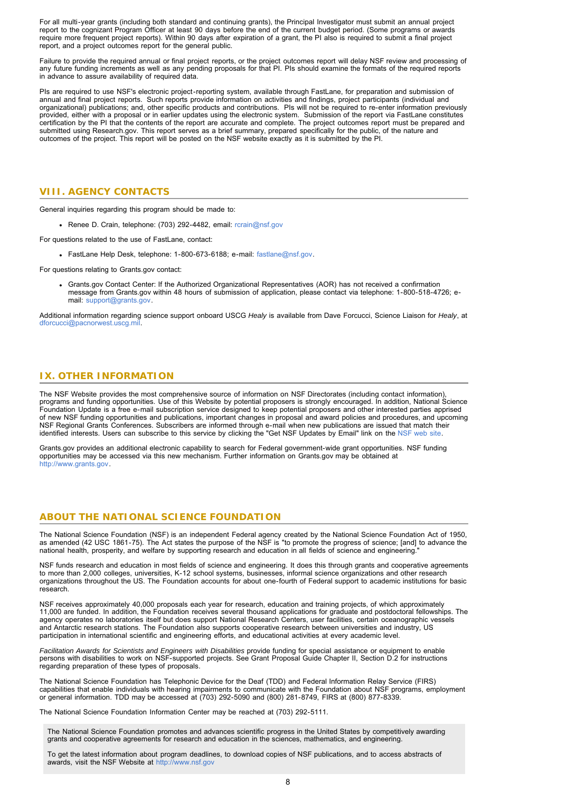<span id="page-7-0"></span>For all multi-year grants (including both standard and continuing grants), the Principal Investigator must submit an annual project report to the cognizant Program Officer at least 90 days before the end of the current budget period. (Some programs or awards require more frequent project reports). Within 90 days after expiration of a grant, the PI also is required to submit a final project report, and a project outcomes report for the general public.

Failure to provide the required annual or final project reports, or the project outcomes report will delay NSF review and processing of any future funding increments as well as any pending proposals for that PI. PIs should examine the formats of the required reports in advance to assure availability of required data.

PIs are required to use NSF's electronic project-reporting system, available through FastLane, for preparation and submission of annual and final project reports. Such reports provide information on activities and findings, project participants (individual and organizational) publications; and, other specific products and contributions. PIs will not be required to re-enter information previously provided, either with a proposal or in earlier updates using the electronic system. Submission of the report via FastLane constitutes<br>certification by the PI that the contents of the report are accurate and complete. The submitted using Research.gov. This report serves as a brief summary, prepared specifically for the public, of the nature and outcomes of the project. This report will be posted on the NSF website exactly as it is submitted by the PI.

## **VIII. AGENCY CONTACTS**

General inquiries regarding this program should be made to:

Renee D. Crain, telephone: (703) 292-4482, email: [rcrain@nsf.gov](mailto:rcrain@nsf.gov)

For questions related to the use of FastLane, contact:

FastLane Help Desk, telephone: 1-800-673-6188; e-mail: [fastlane@nsf.gov.](mailto:fastlane@nsf.gov)

For questions relating to Grants.gov contact:

Grants.gov Contact Center: If the Authorized Organizational Representatives (AOR) has not received a confirmation message from Grants.gov within 48 hours of submission of application, please contact via telephone: 1-800-518-4726; email: [support@grants.gov](mailto:support@grants.gov)

Additional information regarding science support onboard USCG *Healy* is available from Dave Forcucci, Science Liaison for *Healy*, at [dforcucci@pacnorwest.uscg.mil.](mailto:dforcucci@pacnorwest.uscg.mil)

## **IX. OTHER INFORMATION**

The NSF Website provides the most comprehensive source of information on NSF Directorates (including contact information), programs and funding opportunities. Use of this Website by potential proposers is strongly encouraged. In addition, National Science Foundation Update is a free e-mail subscription service designed to keep potential proposers and other interested parties apprised of new NSF funding opportunities and publications, important changes in proposal and award policies and procedures, and upcoming NSF Regional Grants Conferences. Subscribers are informed through e-mail when new publications are issued that match their<br>identified interests. Users can subscribe to this service by clicking the "Get NSF Updates by Email

Grants.gov provides an additional electronic capability to search for Federal government-wide grant opportunities. NSF funding opportunities may be accessed via this new mechanism. Further information on Grants.gov may be obtained at [http://www.grants.gov.](http://www.grants.gov/)

## **ABOUT THE NATIONAL SCIENCE FOUNDATION**

The National Science Foundation (NSF) is an independent Federal agency created by the National Science Foundation Act of 1950,<br>as amended (42 USC 1861-75). The Act states the purpose of the NSF is "to promote the progress

NSF funds research and education in most fields of science and engineering. It does this through grants and cooperative agreements to more than 2,000 colleges, universities, K-12 school systems, businesses, informal science organizations and other research organizations throughout the US. The Foundation accounts for about one-fourth of Federal support to academic institutions for basic research.

NSF receives approximately 40,000 proposals each year for research, education and training projects, of which approximately 11,000 are funded. In addition, the Foundation receives several thousand applications for graduate and postdoctoral fellowships. The agency operates no laboratories itself but does support National Research Centers, user facilities, certain oceanographic vessels and Antarctic research stations. The Foundation also supports cooperative research between universities and industry, US participation in international scientific and engineering efforts, and educational activities at every academic level.

*Facilitation Awards for Scientists and Engineers with Disabilities* provide funding for special assistance or equipment to enable<br>persons with disabilities to work on NSF-supported projects. See Grant Proposal Guide Chapt regarding preparation of these types of proposals.

The National Science Foundation has Telephonic Device for the Deaf (TDD) and Federal Information Relay Service (FIRS) capabilities that enable individuals with hearing impairments to communicate with the Foundation about NSF programs, employment or general information. TDD may be accessed at (703) 292-5090 and (800) 281-8749, FIRS at (800) 877-8339.

The National Science Foundation Information Center may be reached at (703) 292-5111.

The National Science Foundation promotes and advances scientific progress in the United States by competitively awarding grants and cooperative agreements for research and education in the sciences, mathematics, and engineering.

To get the latest information about program deadlines, to download copies of NSF publications, and to access abstracts of awards, visit the NSF Website at [http://www.nsf.gov](http://www.nsf.gov/)